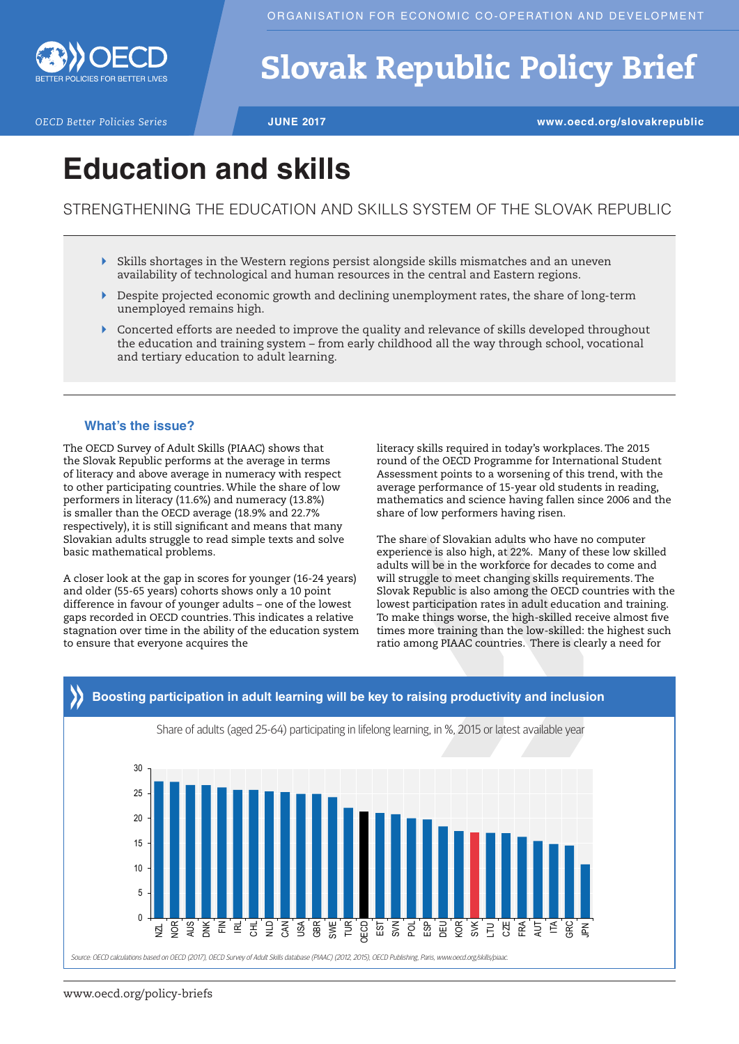

# Slovak Republic Policy Brief

*OECD Better Policies Series* **JUNE 2017 www.oecd.org/slovakrepublic**

## **Education and skills**

STRENGTHENING THE EDUCATION AND SKILLS SYSTEM OF THE SLOVAK REPUBLIC

- $\triangleright$  Skills shortages in the Western regions persist alongside skills mismatches and an uneven availability of technological and human resources in the central and Eastern regions.
- $\blacktriangleright$  Despite projected economic growth and declining unemployment rates, the share of long-term unemployed remains high.
- ` Concerted efforts are needed to improve the quality and relevance of skills developed throughout the education and training system – from early childhood all the way through school, vocational and tertiary education to adult learning.

## **What's the issue?**

The OECD Survey of Adult Skills (PIAAC) shows that the Slovak Republic performs at the average in terms of literacy and above average in numeracy with respect to other participating countries. While the share of low performers in literacy (11.6%) and numeracy (13.8%) is smaller than the OECD average (18.9% and 22.7% respectively), it is still significant and means that many Slovakian adults struggle to read simple texts and solve basic mathematical problems.

A closer look at the gap in scores for younger (16-24 years) and older (55-65 years) cohorts shows only a 10 point difference in favour of younger adults – one of the lowest gaps recorded in OECD countries. This indicates a relative stagnation over time in the ability of the education system to ensure that everyone acquires the

literacy skills required in today's workplaces. The 2015 round of the OECD Programme for International Student Assessment points to a worsening of this trend, with the average performance of 15-year old students in reading, mathematics and science having fallen since 2006 and the share of low performers having risen.

The share of Slovakian adults who have no computer experience is also high, at 22%. Many of these low skilled adults will be in the workforce for decades to come and will struggle to meet changing skills requirements. The Slovak Republic is also among the OECD countries with the lowest participation rates in adult education and training. To make things worse, the high-skilled receive almost five times more training than the low-skilled: the highest such ratio among PIAAC countries. There is clearly a need for

## **Boosting participation in adult learning will be key to raising productivity and inclusion**



Share of adults (aged 25-64) participating in lifelong learning, in %, 2015 or latest available year